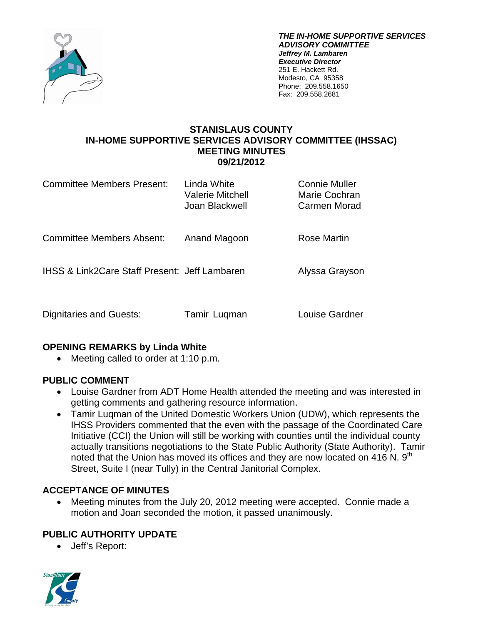

*THE IN-HOME SUPPORTIVE SERVICES ADVISORY COMMITTEE Jeffrey M. Lambaren Executive Director*  251 E. Hackett Rd. Modesto, CA 95358 Phone: 209.558.1650 Fax: 209.558.2681

### **STANISLAUS COUNTY IN-HOME SUPPORTIVE SERVICES ADVISORY COMMITTEE (IHSSAC) MEETING MINUTES 09/21/2012**

| Committee Members Present:                               | Linda White<br>Valerie Mitchell<br>Joan Blackwell | <b>Connie Muller</b><br>Marie Cochran<br>Carmen Morad |
|----------------------------------------------------------|---------------------------------------------------|-------------------------------------------------------|
| <b>Committee Members Absent:</b>                         | Anand Magoon                                      | Rose Martin                                           |
| <b>IHSS &amp; Link2Care Staff Present: Jeff Lambaren</b> |                                                   | Alyssa Grayson                                        |
| Dignitaries and Guests:                                  | Tamir Luqman                                      | Louise Gardner                                        |

### **OPENING REMARKS by Linda White**

• Meeting called to order at 1:10 p.m.

### **PUBLIC COMMENT**

- Louise Gardner from ADT Home Health attended the meeting and was interested in getting comments and gathering resource information.
- Tamir Luqman of the United Domestic Workers Union (UDW), which represents the IHSS Providers commented that the even with the passage of the Coordinated Care Initiative (CCI) the Union will still be working with counties until the individual county actually transitions negotiations to the State Public Authority (State Authority). Tamir noted that the Union has moved its offices and they are now located on 416 N.  $9<sup>th</sup>$ Street, Suite I (near Tully) in the Central Janitorial Complex.

# **ACCEPTANCE OF MINUTES**

 Meeting minutes from the July 20, 2012 meeting were accepted. Connie made a motion and Joan seconded the motion, it passed unanimously.

# **PUBLIC AUTHORITY UPDATE**

Jeff's Report:

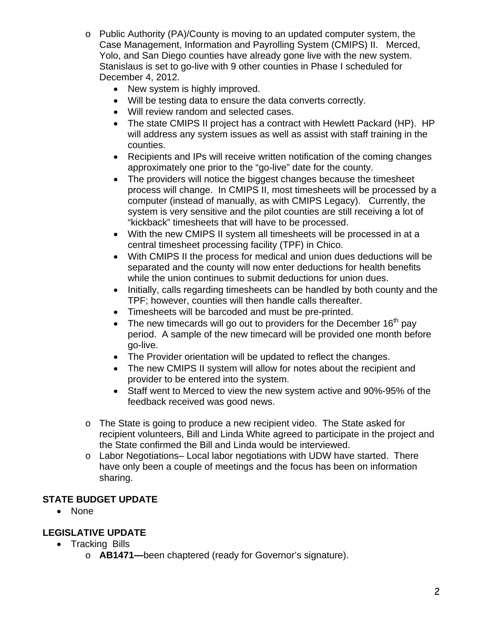- o Public Authority (PA)/County is moving to an updated computer system, the Case Management, Information and Payrolling System (CMIPS) II. Merced, Yolo, and San Diego counties have already gone live with the new system. Stanislaus is set to go-live with 9 other counties in Phase I scheduled for December 4, 2012.
	- New system is highly improved.
	- Will be testing data to ensure the data converts correctly.
	- Will review random and selected cases.
	- The state CMIPS II project has a contract with Hewlett Packard (HP). HP will address any system issues as well as assist with staff training in the counties.
	- Recipients and IPs will receive written notification of the coming changes approximately one prior to the "go-live" date for the county.
	- The providers will notice the biggest changes because the timesheet process will change. In CMIPS II, most timesheets will be processed by a computer (instead of manually, as with CMIPS Legacy). Currently, the system is very sensitive and the pilot counties are still receiving a lot of "kickback" timesheets that will have to be processed.
	- With the new CMIPS II system all timesheets will be processed in at a central timesheet processing facility (TPF) in Chico.
	- With CMIPS II the process for medical and union dues deductions will be separated and the county will now enter deductions for health benefits while the union continues to submit deductions for union dues.
	- Initially, calls regarding timesheets can be handled by both county and the TPF; however, counties will then handle calls thereafter.
	- Timesheets will be barcoded and must be pre-printed.
	- The new timecards will go out to providers for the December  $16<sup>th</sup>$  pay period. A sample of the new timecard will be provided one month before go-live.
	- The Provider orientation will be updated to reflect the changes.
	- The new CMIPS II system will allow for notes about the recipient and provider to be entered into the system.
	- Staff went to Merced to view the new system active and 90%-95% of the feedback received was good news.
- o The State is going to produce a new recipient video. The State asked for recipient volunteers, Bill and Linda White agreed to participate in the project and the State confirmed the Bill and Linda would be interviewed.
- o Labor Negotiations– Local labor negotiations with UDW have started. There have only been a couple of meetings and the focus has been on information sharing.

# **STATE BUDGET UPDATE**

• None

# **LEGISLATIVE UPDATE**

- Tracking Bills
	- o **AB1471—**been chaptered (ready for Governor's signature).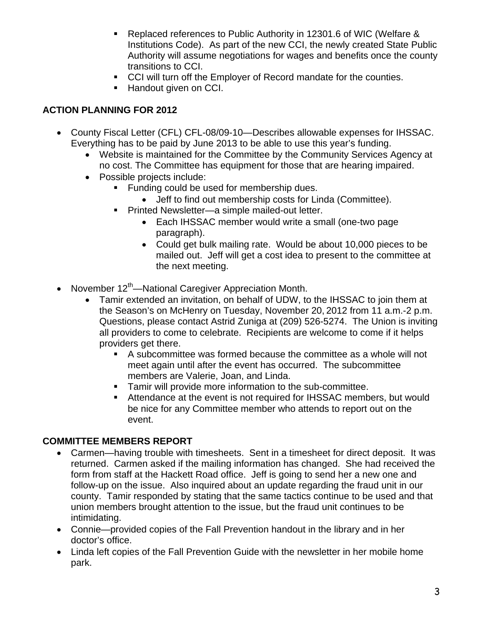- Replaced references to Public Authority in 12301.6 of WIC (Welfare & Institutions Code). As part of the new CCI, the newly created State Public Authority will assume negotiations for wages and benefits once the county transitions to CCI.
- CCI will turn off the Employer of Record mandate for the counties.
- Handout given on CCI.

## **ACTION PLANNING FOR 2012**

- County Fiscal Letter (CFL) CFL-08/09-10—Describes allowable expenses for IHSSAC. Everything has to be paid by June 2013 to be able to use this year's funding.
	- Website is maintained for the Committee by the Community Services Agency at no cost. The Committee has equipment for those that are hearing impaired.
	- Possible projects include:
		- Funding could be used for membership dues.
			- Jeff to find out membership costs for Linda (Committee).
		- Printed Newsletter—a simple mailed-out letter.
			- Each IHSSAC member would write a small (one-two page paragraph).
			- Could get bulk mailing rate. Would be about 10,000 pieces to be mailed out. Jeff will get a cost idea to present to the committee at the next meeting.
- November  $12<sup>th</sup>$ —National Caregiver Appreciation Month.
	- Tamir extended an invitation, on behalf of UDW, to the IHSSAC to join them at the Season's on McHenry on Tuesday, November 20, 2012 from 11 a.m.-2 p.m. Questions, please contact Astrid Zuniga at (209) 526-5274. The Union is inviting all providers to come to celebrate. Recipients are welcome to come if it helps providers get there.
		- A subcommittee was formed because the committee as a whole will not meet again until after the event has occurred. The subcommittee members are Valerie, Joan, and Linda.
		- **Tamir will provide more information to the sub-committee.**
		- Attendance at the event is not required for IHSSAC members, but would be nice for any Committee member who attends to report out on the event.

#### **COMMITTEE MEMBERS REPORT**

- Carmen—having trouble with timesheets. Sent in a timesheet for direct deposit. It was returned. Carmen asked if the mailing information has changed. She had received the form from staff at the Hackett Road office. Jeff is going to send her a new one and follow-up on the issue. Also inquired about an update regarding the fraud unit in our county. Tamir responded by stating that the same tactics continue to be used and that union members brought attention to the issue, but the fraud unit continues to be intimidating.
- Connie—provided copies of the Fall Prevention handout in the library and in her doctor's office.
- Linda left copies of the Fall Prevention Guide with the newsletter in her mobile home park.